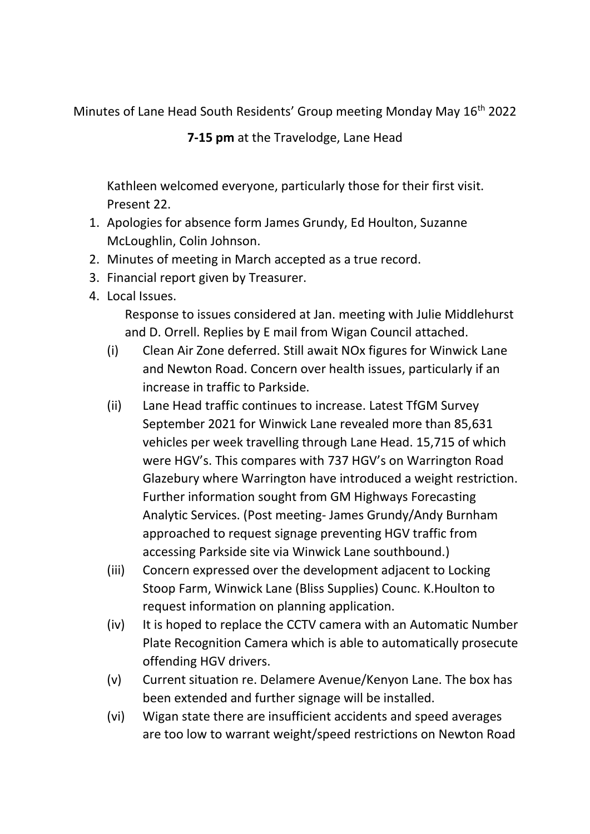Minutes of Lane Head South Residents' Group meeting Monday May 16<sup>th</sup> 2022

**7-15 pm** at the Travelodge, Lane Head

Kathleen welcomed everyone, particularly those for their first visit. Present 22.

- 1. Apologies for absence form James Grundy, Ed Houlton, Suzanne McLoughlin, Colin Johnson.
- 2. Minutes of meeting in March accepted as a true record.
- 3. Financial report given by Treasurer.
- 4. Local Issues.

Response to issues considered at Jan. meeting with Julie Middlehurst and D. Orrell. Replies by E mail from Wigan Council attached.

- (i) Clean Air Zone deferred. Still await NOx figures for Winwick Lane and Newton Road. Concern over health issues, particularly if an increase in traffic to Parkside.
- (ii) Lane Head traffic continues to increase. Latest TfGM Survey September 2021 for Winwick Lane revealed more than 85,631 vehicles per week travelling through Lane Head. 15,715 of which were HGV's. This compares with 737 HGV's on Warrington Road Glazebury where Warrington have introduced a weight restriction. Further information sought from GM Highways Forecasting Analytic Services. (Post meeting- James Grundy/Andy Burnham approached to request signage preventing HGV traffic from accessing Parkside site via Winwick Lane southbound.)
- (iii) Concern expressed over the development adjacent to Locking Stoop Farm, Winwick Lane (Bliss Supplies) Counc. K.Houlton to request information on planning application.
- (iv) It is hoped to replace the CCTV camera with an Automatic Number Plate Recognition Camera which is able to automatically prosecute offending HGV drivers.
- (v) Current situation re. Delamere Avenue/Kenyon Lane. The box has been extended and further signage will be installed.
- (vi) Wigan state there are insufficient accidents and speed averages are too low to warrant weight/speed restrictions on Newton Road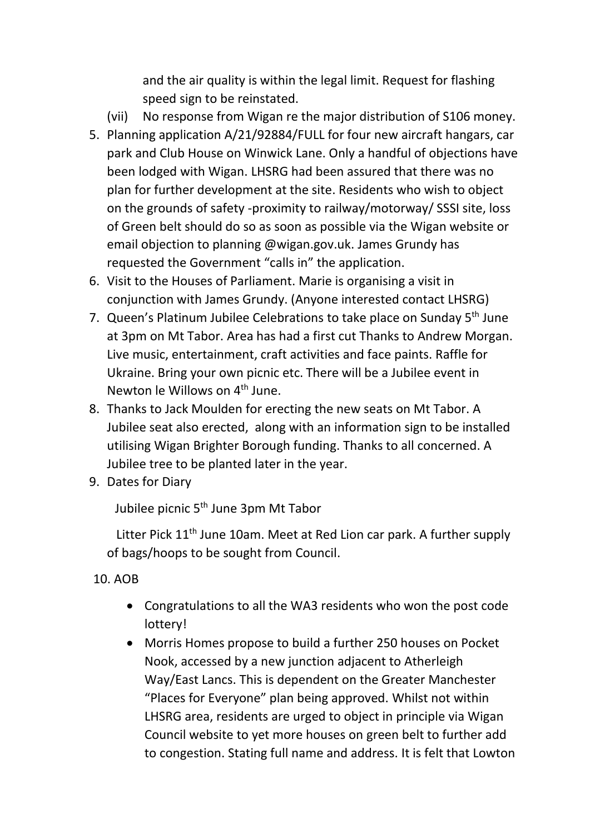and the air quality is within the legal limit. Request for flashing speed sign to be reinstated.

- (vii) No response from Wigan re the major distribution of S106 money.
- 5. Planning application A/21/92884/FULL for four new aircraft hangars, car park and Club House on Winwick Lane. Only a handful of objections have been lodged with Wigan. LHSRG had been assured that there was no plan for further development at the site. Residents who wish to object on the grounds of safety -proximity to railway/motorway/ SSSI site, loss of Green belt should do so as soon as possible via the Wigan website or email objection to planning @wigan.gov.uk. James Grundy has requested the Government "calls in" the application.
- 6. Visit to the Houses of Parliament. Marie is organising a visit in conjunction with James Grundy. (Anyone interested contact LHSRG)
- 7. Queen's Platinum Jubilee Celebrations to take place on Sunday 5<sup>th</sup> June at 3pm on Mt Tabor. Area has had a first cut Thanks to Andrew Morgan. Live music, entertainment, craft activities and face paints. Raffle for Ukraine. Bring your own picnic etc. There will be a Jubilee event in Newton le Willows on 4<sup>th</sup> June.
- 8. Thanks to Jack Moulden for erecting the new seats on Mt Tabor. A Jubilee seat also erected, along with an information sign to be installed utilising Wigan Brighter Borough funding. Thanks to all concerned. A Jubilee tree to be planted later in the year.
- 9. Dates for Diary

Jubilee picnic 5<sup>th</sup> June 3pm Mt Tabor

Litter Pick  $11<sup>th</sup>$  June 10am. Meet at Red Lion car park. A further supply of bags/hoops to be sought from Council.

## 10. AOB

- Congratulations to all the WA3 residents who won the post code lottery!
- Morris Homes propose to build a further 250 houses on Pocket Nook, accessed by a new junction adjacent to Atherleigh Way/East Lancs. This is dependent on the Greater Manchester "Places for Everyone" plan being approved. Whilst not within LHSRG area, residents are urged to object in principle via Wigan Council website to yet more houses on green belt to further add to congestion. Stating full name and address. It is felt that Lowton